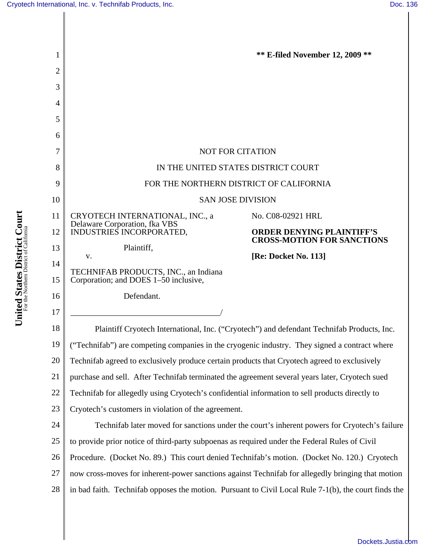I

| 1        |                                                                                                         | <b>** E-filed November 12, 2009 **</b>                                |
|----------|---------------------------------------------------------------------------------------------------------|-----------------------------------------------------------------------|
| 2        |                                                                                                         |                                                                       |
| 3        |                                                                                                         |                                                                       |
| 4        |                                                                                                         |                                                                       |
| 5        |                                                                                                         |                                                                       |
| 6        |                                                                                                         |                                                                       |
| 7        | <b>NOT FOR CITATION</b>                                                                                 |                                                                       |
| 8        | IN THE UNITED STATES DISTRICT COURT                                                                     |                                                                       |
| 9        | FOR THE NORTHERN DISTRICT OF CALIFORNIA                                                                 |                                                                       |
| 10       | <b>SAN JOSE DIVISION</b>                                                                                |                                                                       |
| 11       | CRYOTECH INTERNATIONAL, INC., a<br>Delaware Corporation, fka VBS                                        | No. C08-02921 HRL                                                     |
| 12       | INDUSTRIES INCORPORATED,                                                                                | <b>ORDER DENYING PLAINTIFF'S</b><br><b>CROSS-MOTION FOR SANCTIONS</b> |
| 13       | Plaintiff,<br>v.                                                                                        | [Re: Docket No. 113]                                                  |
| 14<br>15 | TECHNIFAB PRODUCTS, INC., an Indiana<br>Corporation; and DOES 1–50 inclusive,                           |                                                                       |
| 16       | Defendant.                                                                                              |                                                                       |
| 17       |                                                                                                         |                                                                       |
| 18       | Plaintiff Cryotech International, Inc. ("Cryotech") and defendant Technifab Products, Inc.              |                                                                       |
| 19       | ("Technifab") are competing companies in the cryogenic industry. They signed a contract where           |                                                                       |
| 20       | Technifab agreed to exclusively produce certain products that Cryotech agreed to exclusively            |                                                                       |
| 21       | purchase and sell. After Technifab terminated the agreement several years later, Cryotech sued          |                                                                       |
| 22       | Technifab for allegedly using Cryotech's confidential information to sell products directly to          |                                                                       |
| 23       | Cryotech's customers in violation of the agreement.                                                     |                                                                       |
| 24       | Technifab later moved for sanctions under the court's inherent powers for Cryotech's failure            |                                                                       |
| 25       | to provide prior notice of third-party subpoenas as required under the Federal Rules of Civil           |                                                                       |
| 26       | Procedure. (Docket No. 89.) This court denied Technifab's motion. (Docket No. 120.) Cryotech            |                                                                       |
| 27       | now cross-moves for inherent-power sanctions against Technifab for allegedly bringing that motion       |                                                                       |
| 28       | in bad faith. Technifab opposes the motion. Pursuant to Civil Local Rule $7-1(b)$ , the court finds the |                                                                       |
|          |                                                                                                         |                                                                       |

United States District Court **United States District Court** For the Northern District of California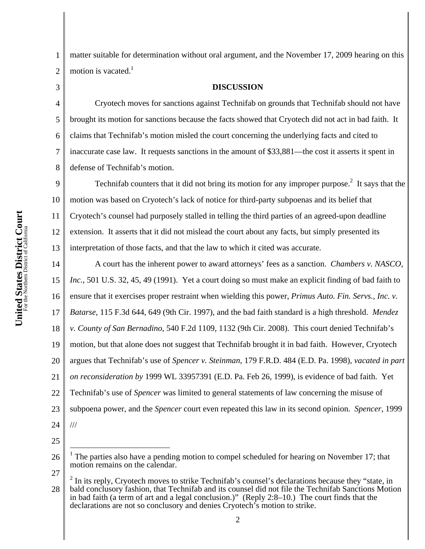1 2 matter suitable for determination without oral argument, and the November 17, 2009 hearing on this motion is vacated. $<sup>1</sup>$ </sup>

3

4

5

6

7

8

defense of Technifab's motion.

## Cryotech moves for sanctions against Technifab on grounds that Technifab should not have brought its motion for sanctions because the facts showed that Cryotech did not act in bad faith. It claims that Technifab's motion misled the court concerning the underlying facts and cited to inaccurate case law. It requests sanctions in the amount of \$33,881—the cost it asserts it spent in

**DISCUSSION** 

9 10 11 12 13 Technifab counters that it did not bring its motion for any improper purpose.<sup>2</sup> It says that the motion was based on Cryotech's lack of notice for third-party subpoenas and its belief that Cryotech's counsel had purposely stalled in telling the third parties of an agreed-upon deadline extension. It asserts that it did not mislead the court about any facts, but simply presented its interpretation of those facts, and that the law to which it cited was accurate.

14 15 16 17 18 19 20 21 22 23 24 A court has the inherent power to award attorneys' fees as a sanction. *Chambers v. NASCO, Inc.*, 501 U.S. 32, 45, 49 (1991). Yet a court doing so must make an explicit finding of bad faith to ensure that it exercises proper restraint when wielding this power, *Primus Auto. Fin. Servs., Inc. v. Batarse*, 115 F.3d 644, 649 (9th Cir. 1997), and the bad faith standard is a high threshold. *Mendez v. County of San Bernadino*, 540 F.2d 1109, 1132 (9th Cir. 2008). This court denied Technifab's motion, but that alone does not suggest that Technifab brought it in bad faith. However, Cryotech argues that Technifab's use of *Spencer v. Steinman*, 179 F.R.D. 484 (E.D. Pa. 1998), *vacated in part on reconsideration by* 1999 WL 33957391 (E.D. Pa. Feb 26, 1999), is evidence of bad faith. Yet Technifab's use of *Spencer* was limited to general statements of law concerning the misuse of subpoena power, and the *Spencer* court even repeated this law in its second opinion. *Spencer*, 1999 ///

25

 $\overline{a}$ 

27

<sup>26</sup> 1 The parties also have a pending motion to compel scheduled for hearing on November 17; that motion remains on the calendar.

<sup>28</sup> 2 In its reply, Cryotech moves to strike Technifab's counsel's declarations because they "state, in bald conclusory fashion, that Technifab and its counsel did not file the Technifab Sanctions Motion in bad faith (a term of art and a legal conclusion.)" (Reply 2:8–10.) The court finds that the declarations are not so conclusory and denies Cryotech's motion to strike.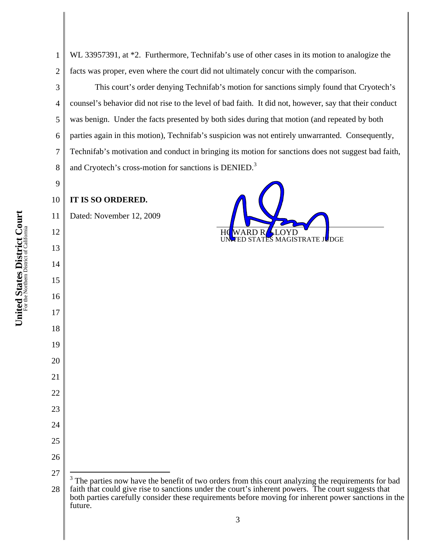WL 33957391, at \*2. Furthermore, Technifab's use of other cases in its motion to analogize the facts was proper, even where the court did not ultimately concur with the comparison.

This court's order denying Technifab's motion for sanctions simply found that Cryotech's counsel's behavior did not rise to the level of bad faith. It did not, however, say that their conduct was benign. Under the facts presented by both sides during that motion (and repeated by both parties again in this motion), Technifab's suspicion was not entirely unwarranted. Consequently, Technifab's motivation and conduct in bringing its motion for sanctions does not suggest bad faith, and Cryotech's cross-motion for sanctions is DENIED.<sup>3</sup>

 **IT IS SO ORDERED.** 

 Dated: November 12, 2009



 $\overline{a}$ 

 The parties now have the benefit of two orders from this court analyzing the requirements for bad faith that could give rise to sanctions under the court's inherent powers. The court suggests that both parties carefully consider these requirements before moving for inherent power sanctions in the future.